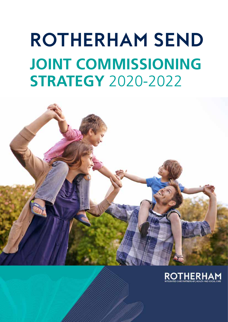# **Rotherham SEND JOINT COMMISSIONING Strategy** 2020-2022



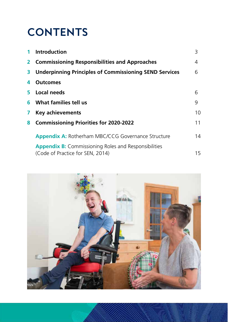# **Contents**

| 1            | <b>Introduction</b>                                                                             | 3  |
|--------------|-------------------------------------------------------------------------------------------------|----|
| $\mathbf{2}$ | <b>Commissioning Responsibilities and Approaches</b>                                            | 4  |
| 3            | <b>Underpinning Principles of Commissioning SEND Services</b>                                   | 6  |
| 4            | <b>Outcomes</b>                                                                                 |    |
| 5.           | Local needs                                                                                     | 6  |
| 6            | What families tell us                                                                           | 9  |
| $\mathbf{7}$ | <b>Key achievements</b>                                                                         | 10 |
| 8            | <b>Commissioning Priorities for 2020-2022</b>                                                   | 11 |
|              | <b>Appendix A: Rotherham MBC/CCG Governance Structure</b>                                       | 14 |
|              | <b>Appendix B:</b> Commissioning Roles and Responsibilities<br>(Code of Practice for SEN, 2014) | 15 |

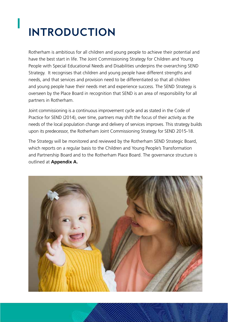# **Introduction**

**1**

Rotherham is ambitious for all children and young people to achieve their potential and have the best start in life. The Joint Commissioning Strategy for Children and Young People with Special Educational Needs and Disabilities underpins the overarching SEND Strategy. It recognises that children and young people have different strengths and needs, and that services and provision need to be differentiated so that all children and young people have their needs met and experience success. The SEND Strategy is overseen by the Place Board in recognition that SEND is an area of responsibility for all partners in Rotherham.

Joint commissioning is a continuous improvement cycle and as stated in the Code of Practice for SEND (2014), over time, partners may shift the focus of their activity as the needs of the local population change and delivery of services improves. This strategy builds upon its predecessor, the Rotherham Joint Commissioning Strategy for SEND 2015-18.

The Strategy will be monitored and reviewed by the Rotherham SEND Strategic Board, which reports on a regular basis to the Children and Young People's Transformation and Partnership Board and to the Rotherham Place Board. The governance structure is outlined at **Appendix A.**

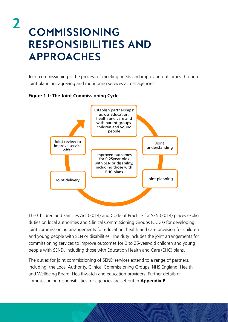# **Commissioning Responsibilities and Approaches**

Joint commissioning is the process of meeting needs and improving outcomes through joint planning, agreeing and monitoring services across agencies.

#### **Figure 1.1: The Joint Commissioning Cycle**

**2**



The Children and Families Act (2014) and Code of Practice for SEN (2014) places explicit duties on local authorities and Clinical Commissioning Groups (CCGs) for developing joint commissioning arrangements for education, health and care provision for children and young people with SEN or disabilities. The duty includes the joint arrangements for commissioning services to improve outcomes for 0 to 25-year-old children and young people with SEND, including those with Education Health and Care (EHC) plans.

The duties for joint commissioning of SEND services extend to a range of partners, including: the Local Authority, Clinical Commissioning Groups, NHS England, Health and Wellbeing Board, Healthwatch and education providers. Further details of commissioning responsibilities for agencies are set out in **Appendix B.**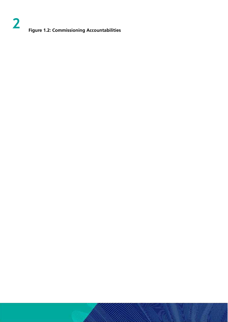#### **2 Figure 1.2: Commissioning Accountabilities**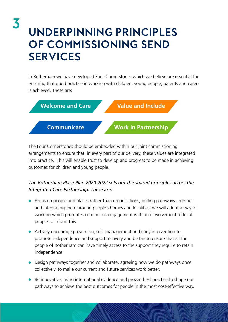# **Underpinning Principles of Commissioning SEND Services**

**3**

In Rotherham we have developed Four Cornerstones which we believe are essential for ensuring that good practice in working with children, young people, parents and carers is achieved. These are:



The Four Cornerstones should be embedded within our joint commissioning arrangements to ensure that, in every part of our delivery, these values are integrated into practice. This will enable trust to develop and progress to be made in achieving outcomes for children and young people.

#### *The Rotherham Place Plan 2020-2022 sets out the shared principles across the Integrated Care Partnership. These are:*

- Focus on people and places rather than organisations, pulling pathways together and integrating them around people's homes and localities; we will adopt a way of working which promotes continuous engagement with and involvement of local people to inform this.
- Actively encourage prevention, self–management and early intervention to promote independence and support recovery and be fair to ensure that all the people of Rotherham can have timely access to the support they require to retain independence.
- Design pathways together and collaborate, agreeing how we do pathways once collectively, to make our current and future services work better.
- Be innovative, using international evidence and proven best practice to shape our pathways to achieve the best outcomes for people in the most cost-effective way.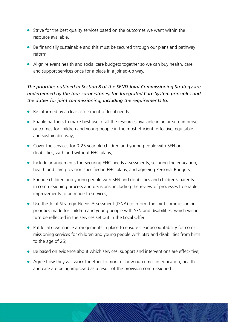- **Strive for the best quality services based on the outcomes we want within the** resource available.
- $\bullet$  Be financially sustainable and this must be secured through our plans and pathway reform.
- Align relevant health and social care budgets together so we can buy health, care and support services once for a place in a joined-up way.

#### *The priorities outlined in Section 8 of the SEND Joint Commissioning Strategy are underpinned by the four cornerstones, the Integrated Care System principles and the duties for joint commissioning, including the requirements to:*

- $\bullet$  Be informed by a clear assessment of local needs;
- Enable partners to make best use of all the resources available in an area to improve outcomes for children and young people in the most efficient, effective, equitable and sustainable way;
- Cover the services for 0-25 year old children and young people with SEN or disabilities, with and without EHC plans;
- Include arrangements for: securing EHC needs assessments, securing the education, health and care provision specified in EHC plans, and agreeing Personal Budgets;
- Engage children and young people with SEN and disabilities and children's parents in commissioning process and decisions, including the review of processes to enable improvements to be made to services;
- Use the Joint Strategic Needs Assessment (JSNA) to inform the joint commissioning priorities made for children and young people with SEN and disabilities, which will in turn be reflected in the services set out in the Local Offer;
- Put local governance arrangements in place to ensure clear accountability for commissioning services for children and young people with SEN and disabilities from birth to the age of 25;
- Be based on evidence about which services, support and interventions are effec- tive;
- Agree how they will work together to monitor how outcomes in education, health and care are being improved as a result of the provision commissioned.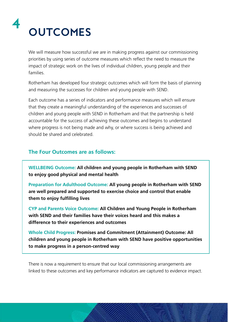

We will measure how successful we are in making progress against our commissioning priorities by using series of outcome measures which reflect the need to measure the impact of strategic work on the lives of individual children, young people and their families.

Rotherham has developed four strategic outcomes which will form the basis of planning and measuring the successes for children and young people with SEND.

Each outcome has a series of indicators and performance measures which will ensure that they create a meaningful understanding of the experiences and successes of children and young people with SEND in Rotherham and that the partnership is held accountable for the success of achieving these outcomes and begins to understand where progress is not being made and why, or where success is being achieved and should be shared and celebrated.

#### **The Four Outcomes are as follows:**

**WELLBEING Outcome: All children and young people in Rotherham with SEND to enjoy good physical and mental health**

**Preparation for Adulthood Outcome: All young people in Rotherham with SEND are well prepared and supported to exercise choice and control that enable them to enjoy fulfilling lives** 

**CYP and Parents Voice Outcome: All Children and Young People in Rotherham with SEND and their families have their voices heard and this makes a difference to their experiences and outcomes**

**Whole Child Progress: Promises and Commitment (Attainment) Outcome: All children and young people in Rotherham with SEND have positive opportunities to make progress in a person-centred way**

There is now a requirement to ensure that our local commissioning arrangements are linked to these outcomes and key performance indicators are captured to evidence impact.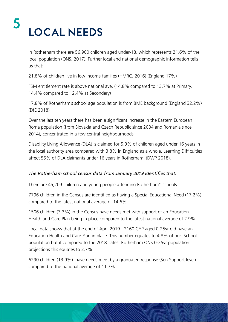### **Local needs 5**

In Rotherham there are 56,900 children aged under-18, which represents 21.6% of the local population (ONS, 2017). Further local and national demographic information tells us that:

21.8% of children live in low income families (HMRC, 2016) (England 17%)

FSM entitlement rate is above national ave. (14.8% compared to 13.7% at Primary, 14.4% compared to 12.4% at Secondary)

17.8% of Rotherham's school age population is from BME background (England 32.2%) (DfE 2018)

Over the last ten years there has been a significant increase in the Eastern European Roma population (from Slovakia and Czech Republic since 2004 and Romania since 2014), concentrated in a few central neighbourhoods

Disability Living Allowance (DLA) is claimed for 5.3% of children aged under 16 years in the local authority area compared with 3.8% in England as a whole. Learning Difficulties affect 55% of DLA claimants under 16 years in Rotherham. (DWP 2018).

#### *The Rotherham school census data from January 2019 identifies that:*

There are 45,209 children and young people attending Rotherham's schools

7796 children in the Census are identified as having a Special Educational Need (17.2%) compared to the latest national average of 14.6%

1506 children (3.3%) in the Census have needs met with support of an Education Health and Care Plan being in place compared to the latest national average of 2.9%

Local data shows that at the end of April 2019 - 2160 CYP aged 0-25yr old have an Education Health and Care Plan in place. This number equates to 4.8% of our School population but if compared to the 2018 latest Rotherham ONS 0-25yr population projections this equates to 2.7%

6290 children (13.9%) have needs meet by a graduated response (Sen Support level) compared to the national average of 11.7%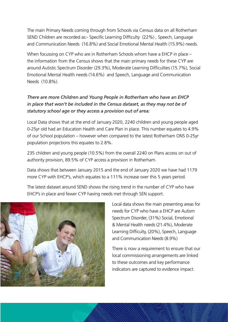The main Primary Needs coming through from Schools via Census data on all Rotherham SEND Children are recorded as:- Specific Learning Difficulty (22%) , Speech, Language and Communication Needs (16.8%) and Social Emotional Mental Health (15.9%) needs.

When focussing on CYP who are in Rotherham Schools whom have a EHCP in place – the information from the Census shows that the main primary needs for these CYP are around Autistic Spectrum Disorder (29.3%), Moderate Learning Difficulties (15.7%), Social Emotional Mental Health needs (14.6%) and Speech, Language and Communication Needs (10.8%).

#### *There are more Children and Young People in Rotherham who have an EHCP in place that won't be included in the Census dataset, as they may not be of statutory school age or they access a provision out of area:*

Local Data shows that at the end of January 2020, 2240 children and young people aged 0-25yr old had an Education Health and Care Plan in place. This number equates to 4.9% of our School population – however when compared to the latest Rotherham ONS 0-25yr population projections this equates to 2.8%.

235 children and young people (10.5%) from the overall 2240 on Plans access on out of authority provision, 89.5% of CYP access a provision in Rotherham.

Data shows that between January 2015 and the end of January 2020 we have had 1179 more CYP with EHCP's, which equates to a 111% increase over this 5 years period.

The latest dataset around SEND shows the rising trend in the number of CYP who have EHCP's in place and fewer CYP having needs met through SEN support.



Local data shows the main presenting areas for needs for CYP who have a EHCP are Autism Spectrum Disorder, (31%) Social, Emotional & Mental Health needs (21.4%), Moderate Learning Difficulty, (20%), Speech, Language and Communication Needs (8.9%)

There is now a requirement to ensure that our local commissioning arrangements are linked to these outcomes and key performance indicators are captured to evidence impact.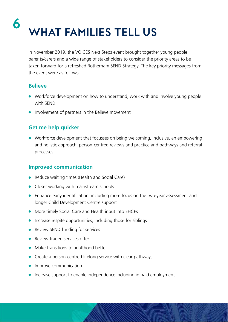### **What Families Tell Us 6**

In November 2019, the VOICES Next Steps event brought together young people, parents/carers and a wide range of stakeholders to consider the priority areas to be taken forward for a refreshed Rotherham SEND Strategy. The key priority messages from the event were as follows:

#### **Believe**

- Workforce development on how to understand, work with and involve young people with SEND
- $\bullet$  Involvement of partners in the Believe movement

#### **Get me help quicker**

• Workforce development that focusses on being welcoming, inclusive, an empowering and holistic approach, person-centred reviews and practice and pathways and referral processes

#### **Improved communication**

- $\bullet$  Reduce waiting times (Health and Social Care)
- $\bullet$  Closer working with mainstream schools
- Enhance early identification, including more focus on the two-year assessment and longer Child Development Centre support
- More timely Social Care and Health input into EHCPs
- $\bullet$  Increase respite opportunities, including those for siblings
- $\bullet$  Review SEND funding for services
- $\bullet$  Review traded services offer
- Make transitions to adulthood better
- $\bullet$  Create a person-centred lifelong service with clear pathways
- $\bullet$  Improve communication
- Increase support to enable independence including in paid employment.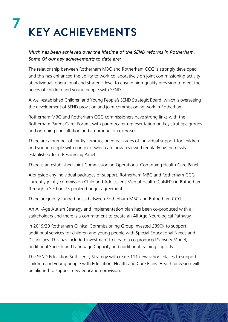### **Key achievements 7**

#### *Much has been achieved over the lifetime of the SEND reforms in Rotherham. Some Of our key achievements to date are:*

The relationship between Rotherham MBC and Rotherham CCG is strongly developed and this has enhanced the ability to work collaboratively on joint commissioning activity at individual, operational and strategic level to ensure high quality provision to meet the needs of children and young people with SEND

A well-established Children and Young People's SEND Strategic Board, which is overseeing the development of SEND provision and joint commissioning work in Rotherham

Rotherham MBC and Rotherham CCG commissioners have strong links with the Rotherham Parent Carer Forum, with parent/carer representation on key strategic groups and on-going consultation and co-production exercises

There are a number of jointly commissioned packages of individual support for children and young people with complex, which are now reviewed regularly by the newly established Joint Resourcing Panel.

There is an established Joint Commissioning Operational Continuing Health Care Panel.

Alongside any individual packages of support, Rotherham MBC and Rotherham CCG currently jointly commission Child and Adolescent Mental Health (CaMHS) in Rotherham through a Section 75 pooled budget agreement.

There are jointly funded posts between Rotherham MBC and Rotherham CCG

An All-Age Autism Strategy and implementation plan has been co-produced with all stakeholders and there is a commitment to create an All Age Neurological Pathway

In 2019/20 Rotherham Clinical Commissioning Group invested £390k to support additional services for children and young people with Special Educational Needs and Disabilities. This has included investment to create a co-produced Sensory Model, additional Speech and Language Capacity and additional training capacity.

The SEND Education Sufficiency Strategy will create 111 new school places to support children and young people with Education, Health and Care Plans. Health provision will be aligned to support new education provision.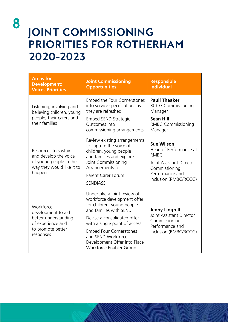# **Joint commissioning priorities for Rotherham 2020-2023**

| <b>Areas for</b><br><b>Development:</b><br><b>Voices Priorities</b>                                            | <b>Joint Commissioning</b><br><b>Opportunities</b>                                                                                                                                                                                                                                                    | <b>Responsible</b><br><b>Individual</b>                                                                                                              |
|----------------------------------------------------------------------------------------------------------------|-------------------------------------------------------------------------------------------------------------------------------------------------------------------------------------------------------------------------------------------------------------------------------------------------------|------------------------------------------------------------------------------------------------------------------------------------------------------|
| Listening, involving and<br>believing children, young<br>people, their carers and<br>their families            | Embed the Four Cornerstones<br>into service specifications as<br>they are refreshed<br>Embed SEND Strategic<br>Outcomes into<br>commissioning arrangements                                                                                                                                            | <b>Paull Theaker</b><br><b>RCCG Commissioning</b><br>Manager<br><b>Sean Hill</b><br><b>RMBC Commissioning</b><br>Manager                             |
| Resources to sustain<br>and develop the voice<br>of young people in the<br>way they would like it to<br>happen | Review existing arrangements<br>to capture the voice of<br>children, young people<br>and families and explore<br>Joint Commissioning<br>Arrangements for:<br>Parent Carer Forum<br><b>SENDIASS</b>                                                                                                    | <b>Sue Wilson</b><br>Head of Performance at<br><b>RMBC</b><br>Joint Assistant Director<br>Commissioning,<br>Performance and<br>Inclusion (RMBC/RCCG) |
| Workforce<br>development to aid<br>better understanding<br>of experience and<br>to promote better<br>responses | Undertake a joint review of<br>workforce development offer<br>for children, young people<br>and families with SEND<br>Devise a consolidated offer<br>with a single point of access<br><b>Embed Four Cornerstones</b><br>and SEND Workforce<br>Development Offer into Place<br>Workforce Enabler Group | <b>Jenny Lingrell</b><br><b>Joint Assistant Director</b><br>Commissioning,<br>Performance and<br>Inclusion (RMBC/RCCG)                               |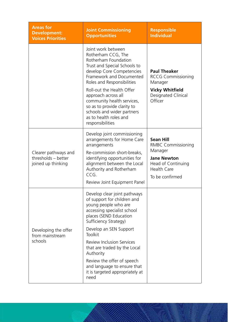| <b>Areas for</b><br><b>Development:</b><br><b>Voices Priorities</b> | <b>Joint Commissioning</b><br><b>Opportunities</b>                                                                                                                                                                                                                                                                                                                                                         | <b>Responsible</b><br><b>Individual</b>                                                                                                       |
|---------------------------------------------------------------------|------------------------------------------------------------------------------------------------------------------------------------------------------------------------------------------------------------------------------------------------------------------------------------------------------------------------------------------------------------------------------------------------------------|-----------------------------------------------------------------------------------------------------------------------------------------------|
|                                                                     | Joint work between<br>Rotherham CCG, The<br>Rotherham Foundation<br>Trust and Special Schools to<br>develop Core Competencies<br>Framework and Documented<br>Roles and Responsibilities<br>Roll-out the Health Offer<br>approach across all<br>community health services,<br>so as to provide clarity to<br>schools and wider partners<br>as to health roles and<br>responsibilities                       | <b>Paul Theaker</b><br><b>RCCG Commissioning</b><br>Manager<br><b>Vicky Whitfield</b><br>Designated Clinical<br>Officer                       |
| Clearer pathways and<br>thresholds - better<br>joined up thinking   | Develop joint commissioning<br>arrangements for Home Care<br>arrangements<br>Re-commission short-breaks,<br>identifying opportunities for<br>alignment between the Local<br>Authority and Rotherham<br>CCG.<br>Review Joint Equipment Panel                                                                                                                                                                | <b>Sean Hill</b><br><b>RMBC Commissioning</b><br>Manager<br><b>Jane Newton</b><br>Head of Continuing<br><b>Health Care</b><br>To be confirmed |
| Developing the offer<br>from mainstream<br>schools                  | Develop clear joint pathways<br>of support for children and<br>young people who are<br>accessing specialist school<br>places (SEND Education<br>Sufficiency Strategy)<br>Develop an SEN Support<br><b>Toolkit</b><br><b>Review Inclusion Services</b><br>that are traded by the Local<br>Authority<br>Review the offer of speech<br>and language to ensure that<br>it is targeted appropriately at<br>need |                                                                                                                                               |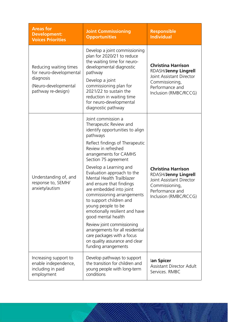| <b>Areas for</b><br><b>Development:</b><br><b>Voices Priorities</b>                                          | <b>Joint Commissioning</b><br><b>Opportunities</b>                                                                                                                                                                                                                                                                                                                                                                                                                                                                                                                                                                                                   | <b>Responsible</b><br><b>Individual</b>                                                                                                     |
|--------------------------------------------------------------------------------------------------------------|------------------------------------------------------------------------------------------------------------------------------------------------------------------------------------------------------------------------------------------------------------------------------------------------------------------------------------------------------------------------------------------------------------------------------------------------------------------------------------------------------------------------------------------------------------------------------------------------------------------------------------------------------|---------------------------------------------------------------------------------------------------------------------------------------------|
| Reducing waiting times<br>for neuro-developmental<br>diagnosis<br>(Neuro-developmental<br>pathway re-design) | Develop a joint commissioning<br>plan for 2020/21 to reduce<br>the waiting time for neuro-<br>developmental diagnostic<br>pathway<br>Develop a joint<br>commissioning plan for<br>2021/22 to sustain the<br>reduction in waiting time<br>for neuro-developmental<br>diagnostic pathway                                                                                                                                                                                                                                                                                                                                                               | <b>Christina Harrison</b><br>RDASH/Jenny Lingrell<br>Joint Assistant Director<br>Commissioning,<br>Performance and<br>Inclusion (RMBC/RCCG) |
| Understanding of, and<br>response to, SEMH/<br>anxiety/autism                                                | Joint commission a<br>Therapeutic Review and<br>identify opportunities to align<br>pathways<br>Reflect findings of Therapeutic<br>Review in refreshed<br>arrangements for CAMHS<br>Section 75 agreement<br>Develop a Learning and<br>Evaluation approach to the<br>Mental Health Trailblazer<br>and ensure that findings<br>are embedded into joint<br>commissioning arrangements<br>to support children and<br>young people to be<br>emotionally resilient and have<br>good mental health<br>Review joint commissioning<br>arrangements for all residential<br>care packages with a focus<br>on quality assurance and clear<br>funding arrangements | <b>Christina Harrison</b><br>RDASH/Jenny Lingrell<br>Joint Assistant Director<br>Commissioning,<br>Performance and<br>Inclusion (RMBC/RCCG) |
| Increasing support to<br>enable independence,<br>including in paid<br>employment                             | Develop pathways to support<br>the transition for children and<br>young people with long-term<br>conditions                                                                                                                                                                                                                                                                                                                                                                                                                                                                                                                                          | lan Spicer<br><b>Assistant Director Adult</b><br>Services. RMBC                                                                             |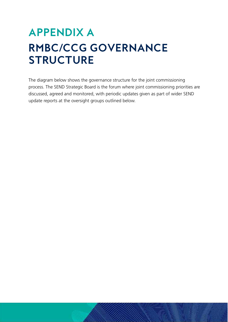# **Appendix A RMBC/CCG Governance Structure**

The diagram below shows the governance structure for the joint commissioning process. The SEND Strategic Board is the forum where joint commissioning priorities are discussed, agreed and monitored, with periodic updates given as part of wider SEND update reports at the oversight groups outlined below.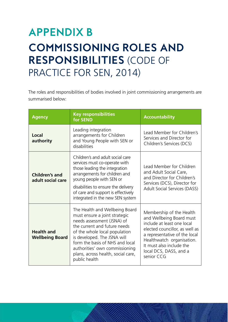# **Appendix B Commissioning Roles and Responsibilities** (Code of PRACTICE FOR SEN, 2014)

The roles and responsibilities of bodies involved in joint commissioning arrangements are summarised below:

| <b>Agency</b>                               | <b>Key responsibilities</b><br>for SEND                                                                                                                                                                                                                                                                                   | <b>Accountability</b>                                                                                                                                                                                                                                  |
|---------------------------------------------|---------------------------------------------------------------------------------------------------------------------------------------------------------------------------------------------------------------------------------------------------------------------------------------------------------------------------|--------------------------------------------------------------------------------------------------------------------------------------------------------------------------------------------------------------------------------------------------------|
| Local<br>authority                          | Leading integration<br>arrangements for Children<br>and Young People with SEN or<br>disabilities                                                                                                                                                                                                                          | Lead Member for Children's<br>Services and Director for<br>Children's Services (DCS)                                                                                                                                                                   |
| <b>Children's and</b><br>adult social care  | Children's and adult social care<br>services must co-operate with<br>those leading the integration<br>arrangements for children and<br>young people with SEN or<br>disabilities to ensure the delivery<br>of care and support is effectively<br>integrated in the new SEN system                                          | Lead Member for Children<br>and Adult Social Care,<br>and Director for Children's<br>Services (DCS), Director for<br>Adult Social Services (DASS)                                                                                                      |
| <b>Health and</b><br><b>Wellbeing Board</b> | The Health and Wellbeing Board<br>must ensure a joint strategic<br>needs assessment (JSNA) of<br>the current and future needs<br>of the whole local population<br>is developed. The JSNA will<br>form the basis of NHS and local<br>authorities' own commissioning<br>plans, across health, social care,<br>public health | Membership of the Health<br>and Wellbeing Board must<br>include at least one local<br>elected councillor, as well as<br>a representative of the local<br>Healthwatch organisation.<br>It must also include the<br>local DCS, DASS, and a<br>senior CCG |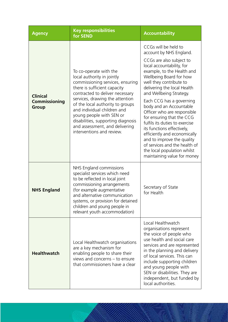| <b>Agency</b>                                           | <b>Key responsibilities</b><br>for SEND                                                                                                                                                                                                                                                                                                                                                            | <b>Accountability</b>                                                                                                                                                                                                                                                                                                                                                                                                                                                                                                                                                                                  |
|---------------------------------------------------------|----------------------------------------------------------------------------------------------------------------------------------------------------------------------------------------------------------------------------------------------------------------------------------------------------------------------------------------------------------------------------------------------------|--------------------------------------------------------------------------------------------------------------------------------------------------------------------------------------------------------------------------------------------------------------------------------------------------------------------------------------------------------------------------------------------------------------------------------------------------------------------------------------------------------------------------------------------------------------------------------------------------------|
| <b>Clinical</b><br><b>Commissioning</b><br><b>Group</b> | To co-operate with the<br>local authority in jointly<br>commissioning services, ensuring<br>there is sufficient capacity<br>contracted to deliver necessary<br>services, drawing the attention<br>of the local authority to groups<br>and individual children and<br>young people with SEN or<br>disabilities, supporting diagnosis<br>and assessment, and delivering<br>interventions and review. | CCGs will be held to<br>account by NHS England.<br>CCGs are also subject to<br>local accountability, for<br>example, to the Health and<br>Wellbeing Board for how<br>well they contribute to<br>delivering the local Health<br>and Wellbeing Strategy.<br>Each CCG has a governing<br>body and an Accountable<br>Officer who are responsible<br>for ensuring that the CCG<br>fulfils its duties to exercise<br>its functions effectively,<br>efficiently and economically<br>and to improve the quality<br>of services and the health of<br>the local population whilst<br>maintaining value for money |
| <b>NHS England</b>                                      | NHS England commissions<br>specialist services which need<br>to be reflected in local joint<br>commissioning arrangements<br>(for example augmentative<br>and alternative communication<br>systems, or provision for detained<br>children and young people in<br>relevant youth accommodation)                                                                                                     | Secretary of State<br>for Health                                                                                                                                                                                                                                                                                                                                                                                                                                                                                                                                                                       |
| <b>Healthwatch</b>                                      | Local Healthwatch organisations<br>are a key mechanism for<br>enabling people to share their<br>views and concerns - to ensure<br>that commissioners have a clear                                                                                                                                                                                                                                  | Local Healthwatch<br>organisations represent<br>the voice of people who<br>use health and social care<br>services and are represented<br>in the planning and delivery<br>of local services. This can<br>include supporting children<br>and young people with<br>SEN or disabilities. They are<br>independent, but funded by<br>local authorities.                                                                                                                                                                                                                                                      |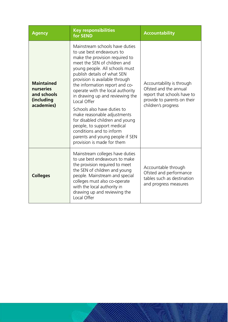| <b>Agency</b>                                                             | <b>Key responsibilities</b><br>for SEND                                                                                                                                                                                                                                                                                                                                                                                                                                                                                                                                              | <b>Accountability</b>                                                                                                                   |
|---------------------------------------------------------------------------|--------------------------------------------------------------------------------------------------------------------------------------------------------------------------------------------------------------------------------------------------------------------------------------------------------------------------------------------------------------------------------------------------------------------------------------------------------------------------------------------------------------------------------------------------------------------------------------|-----------------------------------------------------------------------------------------------------------------------------------------|
| <b>Maintained</b><br>nurseries<br>and schools<br>(including<br>academies) | Mainstream schools have duties<br>to use best endeavours to<br>make the provision required to<br>meet the SEN of children and<br>young people. All schools must<br>publish details of what SEN<br>provision is available through<br>the information report and co-<br>operate with the local authority<br>in drawing up and reviewing the<br>Local Offer<br>Schools also have duties to<br>make reasonable adjustments<br>for disabled children and young<br>people, to support medical<br>conditions and to inform<br>parents and young people if SEN<br>provision is made for them | Accountability is through<br>Ofsted and the annual<br>report that schools have to<br>provide to parents on their<br>children's progress |
| <b>Colleges</b>                                                           | Mainstream colleges have duties<br>to use best endeavours to make<br>the provision required to meet<br>the SEN of children and young<br>people. Mainstream and special<br>colleges must also co-operate<br>with the local authority in<br>drawing up and reviewing the<br>Local Offer                                                                                                                                                                                                                                                                                                | Accountable through<br>Ofsted and performance<br>tables such as destination<br>and progress measures                                    |